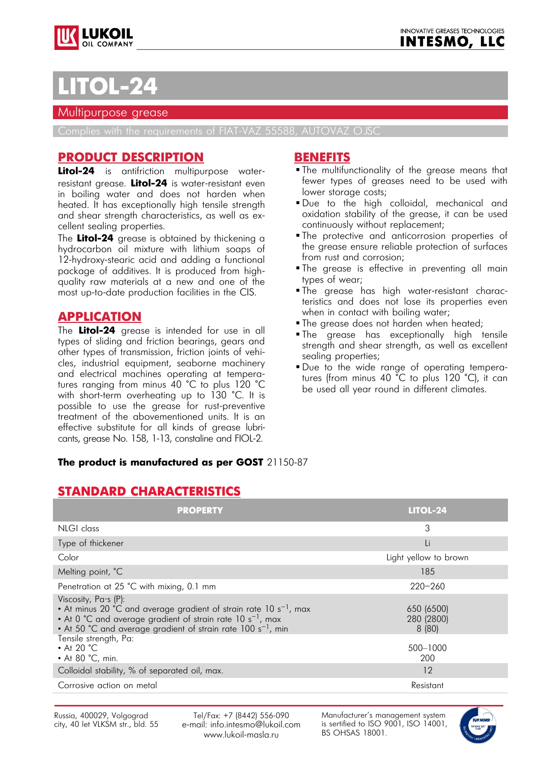



# **LOL-**

#### Multipurpose grease

Complies with the requirements of FIAT-VAZ 55588, AUTOVAZ OJSC

### **PRODUCT DESCRIPTION**

**Litol-24** is antifriction multipurpose waterresistant grease. **Litol-24** is water-resistant even in boiling water and does not harden when heated. It has exceptionally high tensile strength and shear strength characteristics, as well as excellent sealing properties.

The **Litol-24** grease is obtained by thickening a hydrocarbon oil mixture with lithium soaps of 12-hydroxy-stearic acid and adding a functional package of additives. It is produced from highquality raw materials at a new and one of the most up-to-date production facilities in the CIS.

## **APPLICATION**

The **Litol-24** grease is intended for use in all types of sliding and friction bearings, gears and other types of transmission, friction joints of vehicles, industrial equipment, seaborne machinery and electrical machines operating at temperatures ranging from minus 40 °C to plus 120 °C with short-term overheating up to 130 °C. It is possible to use the grease for rust-preventive treatment of the abovementioned units. It is an effective substitute for all kinds of grease lubricants, grease No. 158, 1-13, constaline and FIOL-2.

#### **BENEFITS**

- The multifunctionality of the grease means that fewer types of greases need to be used with lower storage costs;
- Due to the high colloidal, mechanical and oxidation stability of the grease, it can be used continuously without replacement;
- The protective and anticorrosion properties of the grease ensure reliable protection of surfaces from rust and corrosion;
- The grease is effective in preventing all main types of wear;
- The grease has high water-resistant characteristics and does not lose its properties even when in contact with boiling water;
- **The grease does not harden when heated;**
- **The grease has exceptionally high tensile** strength and shear strength, as well as excellent sealing properties;
- Due to the wide range of operating temperatures (from minus 40 °C to plus 120 °C), it can be used all year round in different climates.

#### **The product is manufactured as per GOST** 21150-87

## **STANDARD CHARACTERISTICS**

| <b>PROPERTY</b>                                                                                                                                                                                                                                             | <b>LITOL-24</b>                   |
|-------------------------------------------------------------------------------------------------------------------------------------------------------------------------------------------------------------------------------------------------------------|-----------------------------------|
| NLGI class                                                                                                                                                                                                                                                  | 3                                 |
| Type of thickener                                                                                                                                                                                                                                           | Li                                |
| Color                                                                                                                                                                                                                                                       | Light yellow to brown             |
| Melting point, °C                                                                                                                                                                                                                                           | 185                               |
| Penetration at 25 °C with mixing, 0.1 mm                                                                                                                                                                                                                    | $220 - 260$                       |
| Viscosity, Pa.s (P):<br>• At minus 20 °C and average gradient of strain rate 10 s <sup>-1</sup> , max<br>• At 0 °C and average gradient of strain rate 10 s <sup>-1</sup> , max<br>• At 50 °C and average gradient of strain rate 100 s <sup>-1</sup> , min | 650 (6500)<br>280 (2800)<br>8(80) |
| Tensile strength, Pa:<br>$\cdot$ At 20 °C<br>• At 80 °C, min.                                                                                                                                                                                               | 500-1000<br>200                   |
| Colloidal stability, % of separated oil, max.                                                                                                                                                                                                               | 12                                |
| Corrosive action on metal                                                                                                                                                                                                                                   | Resistant                         |